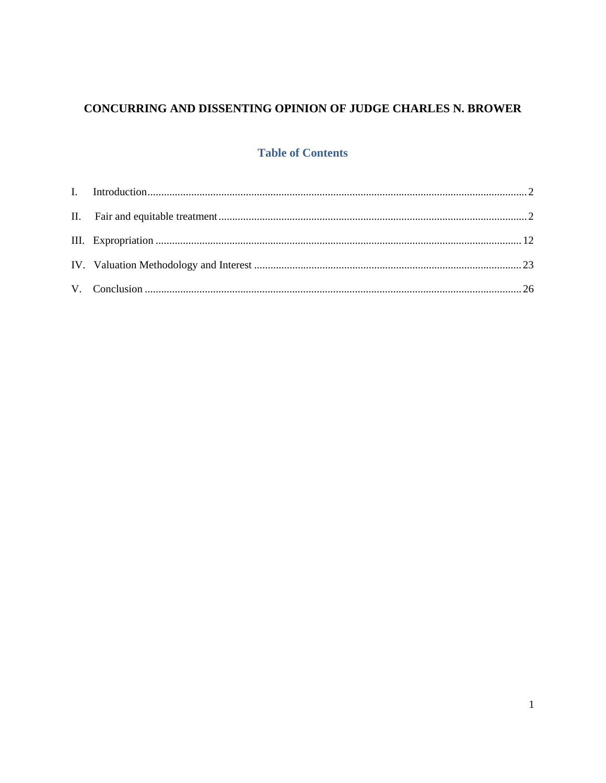# CONCURRING AND DISSENTING OPINION OF JUDGE CHARLES N. BROWER

# **Table of Contents**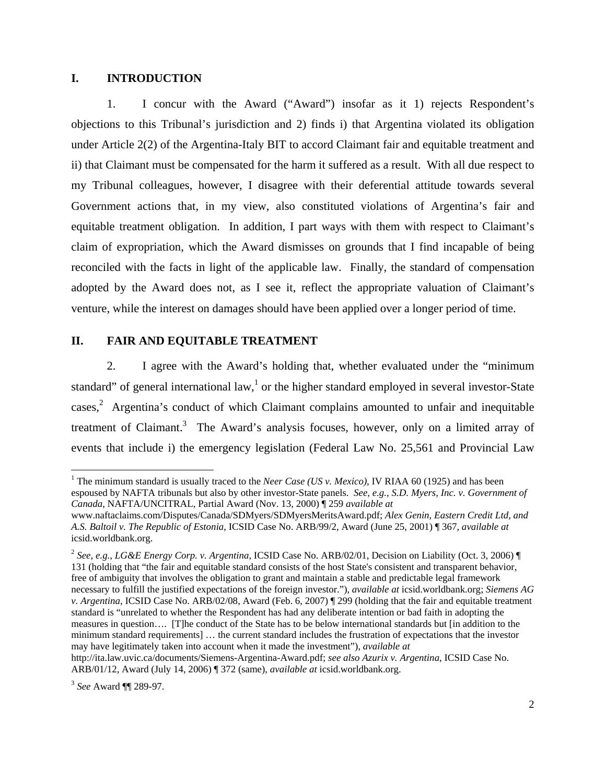## **I. INTRODUCTION**

1. I concur with the Award ("Award") insofar as it 1) rejects Respondent's objections to this Tribunal's jurisdiction and 2) finds i) that Argentina violated its obligation under Article 2(2) of the Argentina-Italy BIT to accord Claimant fair and equitable treatment and ii) that Claimant must be compensated for the harm it suffered as a result. With all due respect to my Tribunal colleagues, however, I disagree with their deferential attitude towards several Government actions that, in my view, also constituted violations of Argentina's fair and equitable treatment obligation. In addition, I part ways with them with respect to Claimant's claim of expropriation, which the Award dismisses on grounds that I find incapable of being reconciled with the facts in light of the applicable law. Finally, the standard of compensation adopted by the Award does not, as I see it, reflect the appropriate valuation of Claimant's venture, while the interest on damages should have been applied over a longer period of time.

### **II. FAIR AND EQUITABLE TREATMENT**

2. I agree with the Award's holding that, whether evaluated under the "minimum standard" of general international law,<sup>1</sup> or the higher standard employed in several investor-State cases,<sup>2</sup> Argentina's conduct of which Claimant complains amounted to unfair and inequitable treatment of Claimant.<sup>3</sup> The Award's analysis focuses, however, only on a limited array of events that include i) the emergency legislation (Federal Law No. 25,561 and Provincial Law

<sup>&</sup>lt;sup>1</sup> The minimum standard is usually traced to the *Neer Case (US v. Mexico)*, IV RIAA 60 (1925) and has been espoused by NAFTA tribunals but also by other investor-State panels. *See, e.g.*, *S.D. Myers, Inc. v. Government of Canada*, NAFTA/UNCITRAL, Partial Award (Nov. 13, 2000) ¶ 259 *available at* 

www.naftaclaims.com/Disputes/Canada/SDMyers/SDMyersMeritsAward.pdf; *Alex Genin, Eastern Credit Ltd, and A.S. Baltoil v. The Republic of Estonia*, ICSID Case No. ARB/99/2, Award (June 25, 2001) ¶ 367, *available at*  icsid.worldbank.org.

<sup>2</sup>  *See, e.g.*, *LG&E Energy Corp. v. Argentina*, ICSID Case No. ARB/02/01, Decision on Liability (Oct. 3, 2006) ¶ 131 (holding that "the fair and equitable standard consists of the host State's consistent and transparent behavior, free of ambiguity that involves the obligation to grant and maintain a stable and predictable legal framework necessary to fulfill the justified expectations of the foreign investor."), *available at* icsid.worldbank.org; *Siemens AG v. Argentina*, ICSID Case No. ARB/02/08, Award (Feb. 6, 2007) ¶ 299 (holding that the fair and equitable treatment standard is "unrelated to whether the Respondent has had any deliberate intention or bad faith in adopting the measures in question…. [T]he conduct of the State has to be below international standards but [in addition to the minimum standard requirements] … the current standard includes the frustration of expectations that the investor may have legitimately taken into account when it made the investment"), *available at* 

http://ita.law.uvic.ca/documents/Siemens-Argentina-Award.pdf; *see also Azurix v. Argentina*, ICSID Case No. ARB/01/12, Award (July 14, 2006) ¶ 372 (same), *available at* icsid.worldbank.org.

<sup>3</sup> *See* Award ¶¶ 289-97.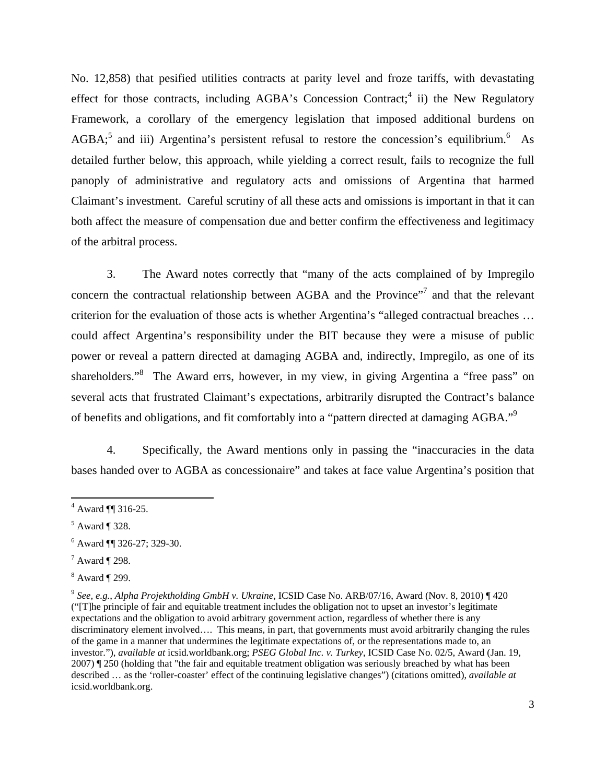No. 12,858) that pesified utilities contracts at parity level and froze tariffs, with devastating effect for those contracts, including AGBA's Concession Contract;<sup>4</sup> ii) the New Regulatory Framework, a corollary of the emergency legislation that imposed additional burdens on  $AGBA$ <sup>5</sup> and iii) Argentina's persistent refusal to restore the concession's equilibrium.<sup>6</sup> As detailed further below, this approach, while yielding a correct result, fails to recognize the full panoply of administrative and regulatory acts and omissions of Argentina that harmed Claimant's investment. Careful scrutiny of all these acts and omissions is important in that it can both affect the measure of compensation due and better confirm the effectiveness and legitimacy of the arbitral process.

3. The Award notes correctly that "many of the acts complained of by Impregilo concern the contractual relationship between AGBA and the Province"<sup>7</sup> and that the relevant criterion for the evaluation of those acts is whether Argentina's "alleged contractual breaches … could affect Argentina's responsibility under the BIT because they were a misuse of public power or reveal a pattern directed at damaging AGBA and, indirectly, Impregilo, as one of its shareholders."<sup>8</sup> The Award errs, however, in my view, in giving Argentina a "free pass" on several acts that frustrated Claimant's expectations, arbitrarily disrupted the Contract's balance of benefits and obligations, and fit comfortably into a "pattern directed at damaging AGBA."<sup>9</sup>

4. Specifically, the Award mentions only in passing the "inaccuracies in the data bases handed over to AGBA as concessionaire" and takes at face value Argentina's position that

 $^7$  Award ¶ 298.

 $4$  Award ¶ 316-25.

 $<sup>5</sup>$  Award ¶ 328.</sup>

 $6$  Award  $\P$  326-27; 329-30.

 $8$  Award ¶ 299.

<sup>9</sup> *See, e.g.*, *Alpha Projektholding GmbH v. Ukraine*, ICSID Case No. ARB/07/16, Award (Nov. 8, 2010) ¶ 420 ("[T]he principle of fair and equitable treatment includes the obligation not to upset an investor's legitimate expectations and the obligation to avoid arbitrary government action, regardless of whether there is any discriminatory element involved…. This means, in part, that governments must avoid arbitrarily changing the rules of the game in a manner that undermines the legitimate expectations of, or the representations made to, an investor."), *available at* icsid.worldbank.org; *PSEG Global Inc. v. Turkey*, ICSID Case No. 02/5, Award (Jan. 19, 2007) ¶ 250 (holding that "the fair and equitable treatment obligation was seriously breached by what has been described … as the 'roller-coaster' effect of the continuing legislative changes") (citations omitted), *available at*  icsid.worldbank.org.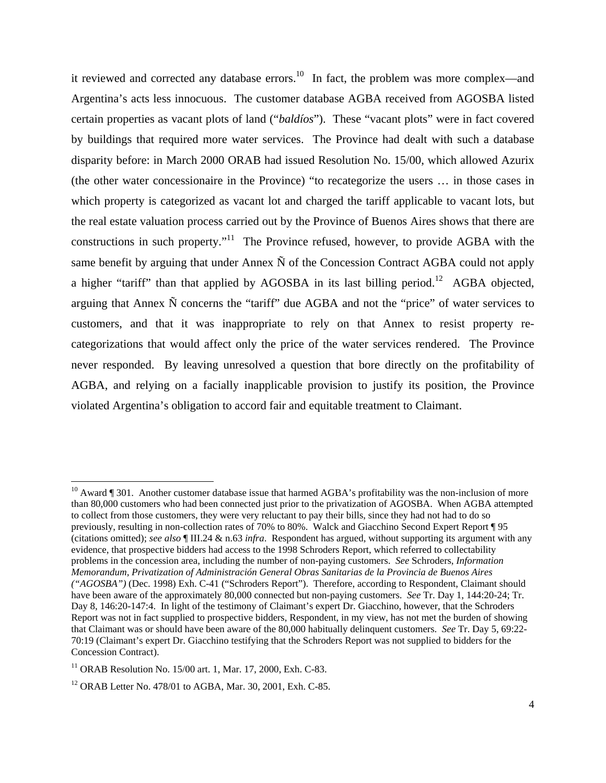it reviewed and corrected any database errors.<sup>10</sup> In fact, the problem was more complex—and Argentina's acts less innocuous. The customer database AGBA received from AGOSBA listed certain properties as vacant plots of land ("*baldíos*"). These "vacant plots" were in fact covered by buildings that required more water services. The Province had dealt with such a database disparity before: in March 2000 ORAB had issued Resolution No. 15/00, which allowed Azurix (the other water concessionaire in the Province) "to recategorize the users … in those cases in which property is categorized as vacant lot and charged the tariff applicable to vacant lots, but the real estate valuation process carried out by the Province of Buenos Aires shows that there are constructions in such property."<sup>11</sup> The Province refused, however, to provide AGBA with the same benefit by arguing that under Annex  $\tilde{N}$  of the Concession Contract AGBA could not apply a higher "tariff" than that applied by AGOSBA in its last billing period.<sup>12</sup> AGBA objected, arguing that Annex Ñ concerns the "tariff" due AGBA and not the "price" of water services to customers, and that it was inappropriate to rely on that Annex to resist property recategorizations that would affect only the price of the water services rendered. The Province never responded. By leaving unresolved a question that bore directly on the profitability of AGBA, and relying on a facially inapplicable provision to justify its position, the Province violated Argentina's obligation to accord fair and equitable treatment to Claimant.

<sup>&</sup>lt;sup>10</sup> Award ¶ 301. Another customer database issue that harmed AGBA's profitability was the non-inclusion of more than 80,000 customers who had been connected just prior to the privatization of AGOSBA. When AGBA attempted to collect from those customers, they were very reluctant to pay their bills, since they had not had to do so previously, resulting in non-collection rates of 70% to 80%. Walck and Giacchino Second Expert Report ¶ 95 (citations omitted); *see also* ¶ III.24 & n.63 *infra*. Respondent has argued, without supporting its argument with any evidence, that prospective bidders had access to the 1998 Schroders Report, which referred to collectability problems in the concession area, including the number of non-paying customers. *See* Schroders, *Information Memorandum, Privatization of Administración General Obras Sanitarias de la Provincia de Buenos Aires ("AGOSBA")* (Dec. 1998) Exh. C-41 ("Schroders Report"). Therefore, according to Respondent, Claimant should have been aware of the approximately 80,000 connected but non-paying customers. *See* Tr. Day 1, 144:20-24; Tr. Day 8, 146:20-147:4. In light of the testimony of Claimant's expert Dr. Giacchino, however, that the Schroders Report was not in fact supplied to prospective bidders, Respondent, in my view, has not met the burden of showing that Claimant was or should have been aware of the 80,000 habitually delinquent customers. *See* Tr. Day 5, 69:22- 70:19 (Claimant's expert Dr. Giacchino testifying that the Schroders Report was not supplied to bidders for the Concession Contract).

<sup>&</sup>lt;sup>11</sup> ORAB Resolution No. 15/00 art. 1, Mar. 17, 2000, Exh. C-83.

<sup>12</sup> ORAB Letter No. 478/01 to AGBA, Mar. 30, 2001, Exh. C-85.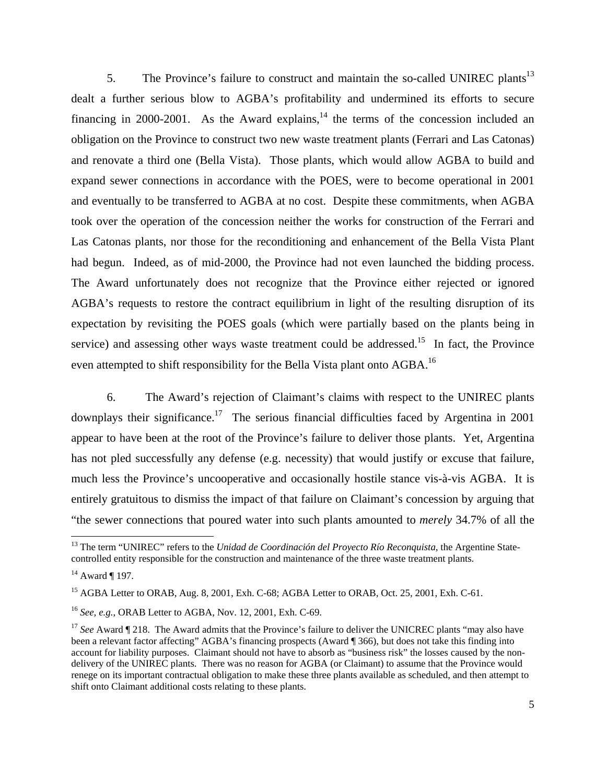5. The Province's failure to construct and maintain the so-called UNIREC plants<sup>13</sup> dealt a further serious blow to AGBA's profitability and undermined its efforts to secure financing in 2000-2001. As the Award explains, $14$  the terms of the concession included an obligation on the Province to construct two new waste treatment plants (Ferrari and Las Catonas) and renovate a third one (Bella Vista). Those plants, which would allow AGBA to build and expand sewer connections in accordance with the POES, were to become operational in 2001 and eventually to be transferred to AGBA at no cost. Despite these commitments, when AGBA took over the operation of the concession neither the works for construction of the Ferrari and Las Catonas plants, nor those for the reconditioning and enhancement of the Bella Vista Plant had begun. Indeed, as of mid-2000, the Province had not even launched the bidding process. The Award unfortunately does not recognize that the Province either rejected or ignored AGBA's requests to restore the contract equilibrium in light of the resulting disruption of its expectation by revisiting the POES goals (which were partially based on the plants being in service) and assessing other ways waste treatment could be addressed.<sup>15</sup> In fact, the Province even attempted to shift responsibility for the Bella Vista plant onto AGBA.<sup>16</sup>

6. The Award's rejection of Claimant's claims with respect to the UNIREC plants downplays their significance.<sup>17</sup> The serious financial difficulties faced by Argentina in 2001 appear to have been at the root of the Province's failure to deliver those plants. Yet, Argentina has not pled successfully any defense (e.g. necessity) that would justify or excuse that failure, much less the Province's uncooperative and occasionally hostile stance vis-à-vis AGBA. It is entirely gratuitous to dismiss the impact of that failure on Claimant's concession by arguing that "the sewer connections that poured water into such plants amounted to *merely* 34.7% of all the

<sup>&</sup>lt;sup>13</sup> The term "UNIREC" refers to the *Unidad de Coordinación del Proyecto Río Reconquista*, the Argentine Statecontrolled entity responsible for the construction and maintenance of the three waste treatment plants.

 $14$  Award ¶ 197.

<sup>&</sup>lt;sup>15</sup> AGBA Letter to ORAB, Aug. 8, 2001, Exh. C-68; AGBA Letter to ORAB, Oct. 25, 2001, Exh. C-61.

<sup>16</sup> *See, e.g.*, ORAB Letter to AGBA, Nov. 12, 2001, Exh. C-69.

<sup>&</sup>lt;sup>17</sup> See Award ¶ 218. The Award admits that the Province's failure to deliver the UNICREC plants "may also have been a relevant factor affecting" AGBA's financing prospects (Award ¶ 366), but does not take this finding into account for liability purposes. Claimant should not have to absorb as "business risk" the losses caused by the nondelivery of the UNIREC plants. There was no reason for AGBA (or Claimant) to assume that the Province would renege on its important contractual obligation to make these three plants available as scheduled, and then attempt to shift onto Claimant additional costs relating to these plants.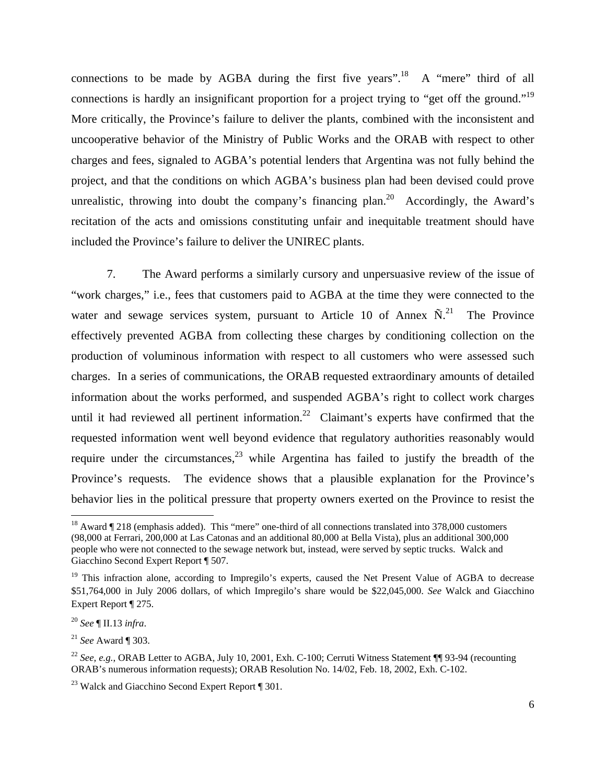connections to be made by AGBA during the first five years".<sup>18</sup> A "mere" third of all connections is hardly an insignificant proportion for a project trying to "get off the ground."<sup>19</sup> More critically, the Province's failure to deliver the plants, combined with the inconsistent and uncooperative behavior of the Ministry of Public Works and the ORAB with respect to other charges and fees, signaled to AGBA's potential lenders that Argentina was not fully behind the project, and that the conditions on which AGBA's business plan had been devised could prove unrealistic, throwing into doubt the company's financing plan.<sup>20</sup> Accordingly, the Award's recitation of the acts and omissions constituting unfair and inequitable treatment should have included the Province's failure to deliver the UNIREC plants.

7. The Award performs a similarly cursory and unpersuasive review of the issue of "work charges," i.e., fees that customers paid to AGBA at the time they were connected to the water and sewage services system, pursuant to Article 10 of Annex  $\tilde{N}$ .<sup>21</sup> The Province effectively prevented AGBA from collecting these charges by conditioning collection on the production of voluminous information with respect to all customers who were assessed such charges. In a series of communications, the ORAB requested extraordinary amounts of detailed information about the works performed, and suspended AGBA's right to collect work charges until it had reviewed all pertinent information.<sup>22</sup> Claimant's experts have confirmed that the requested information went well beyond evidence that regulatory authorities reasonably would require under the circumstances,  $^{23}$  while Argentina has failed to justify the breadth of the Province's requests. The evidence shows that a plausible explanation for the Province's behavior lies in the political pressure that property owners exerted on the Province to resist the

<sup>&</sup>lt;sup>18</sup> Award ¶ 218 (emphasis added). This "mere" one-third of all connections translated into 378,000 customers (98,000 at Ferrari, 200,000 at Las Catonas and an additional 80,000 at Bella Vista), plus an additional 300,000 people who were not connected to the sewage network but, instead, were served by septic trucks. Walck and Giacchino Second Expert Report ¶ 507.

<sup>&</sup>lt;sup>19</sup> This infraction alone, according to Impregilo's experts, caused the Net Present Value of AGBA to decrease \$51,764,000 in July 2006 dollars, of which Impregilo's share would be \$22,045,000. *See* Walck and Giacchino Expert Report ¶ 275.

<sup>20</sup> *See* ¶ II.13 *infra*.

<sup>21</sup> *See* Award ¶ 303.

<sup>&</sup>lt;sup>22</sup> *See, e.g.*, ORAB Letter to AGBA, July 10, 2001, Exh. C-100; Cerruti Witness Statement ¶ 93-94 (recounting ORAB's numerous information requests); ORAB Resolution No. 14/02, Feb. 18, 2002, Exh. C-102.

<sup>&</sup>lt;sup>23</sup> Walck and Giacchino Second Expert Report ¶ 301.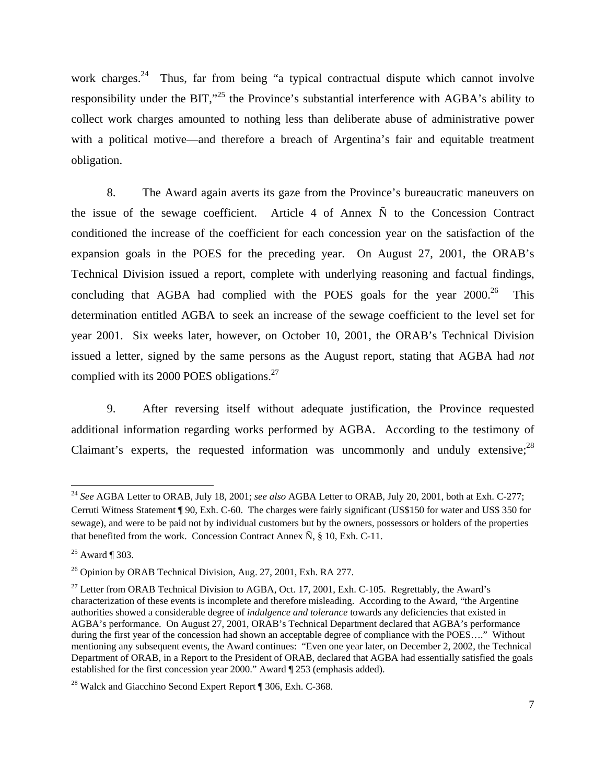work charges.<sup>24</sup> Thus, far from being "a typical contractual dispute which cannot involve responsibility under the BIT,<sup>325</sup> the Province's substantial interference with AGBA's ability to collect work charges amounted to nothing less than deliberate abuse of administrative power with a political motive—and therefore a breach of Argentina's fair and equitable treatment obligation.

8. The Award again averts its gaze from the Province's bureaucratic maneuvers on the issue of the sewage coefficient. Article 4 of Annex  $\tilde{N}$  to the Concession Contract conditioned the increase of the coefficient for each concession year on the satisfaction of the expansion goals in the POES for the preceding year. On August 27, 2001, the ORAB's Technical Division issued a report, complete with underlying reasoning and factual findings, concluding that AGBA had complied with the POES goals for the year  $2000$ .<sup>26</sup> This determination entitled AGBA to seek an increase of the sewage coefficient to the level set for year 2001. Six weeks later, however, on October 10, 2001, the ORAB's Technical Division issued a letter, signed by the same persons as the August report, stating that AGBA had *not* complied with its 2000 POES obligations. $27$ 

9. After reversing itself without adequate justification, the Province requested additional information regarding works performed by AGBA. According to the testimony of Claimant's experts, the requested information was uncommonly and unduly extensive;<sup>28</sup>

<sup>24</sup> *See* AGBA Letter to ORAB, July 18, 2001; *see also* AGBA Letter to ORAB, July 20, 2001, both at Exh. C-277; Cerruti Witness Statement ¶ 90, Exh. C-60. The charges were fairly significant (US\$150 for water and US\$ 350 for sewage), and were to be paid not by individual customers but by the owners, possessors or holders of the properties that benefited from the work. Concession Contract Annex  $\tilde{N}$ , § 10, Exh. C-11.

 $25$  Award ¶ 303.

 $^{26}$  Opinion by ORAB Technical Division, Aug. 27, 2001, Exh. RA 277.

<sup>&</sup>lt;sup>27</sup> Letter from ORAB Technical Division to AGBA, Oct. 17, 2001, Exh. C-105. Regrettably, the Award's characterization of these events is incomplete and therefore misleading. According to the Award, "the Argentine authorities showed a considerable degree of *indulgence and tolerance* towards any deficiencies that existed in AGBA's performance. On August 27, 2001, ORAB's Technical Department declared that AGBA's performance during the first year of the concession had shown an acceptable degree of compliance with the POES…." Without mentioning any subsequent events, the Award continues: "Even one year later, on December 2, 2002, the Technical Department of ORAB, in a Report to the President of ORAB, declared that AGBA had essentially satisfied the goals established for the first concession year 2000." Award ¶ 253 (emphasis added).

<sup>&</sup>lt;sup>28</sup> Walck and Giacchino Second Expert Report ¶ 306, Exh. C-368.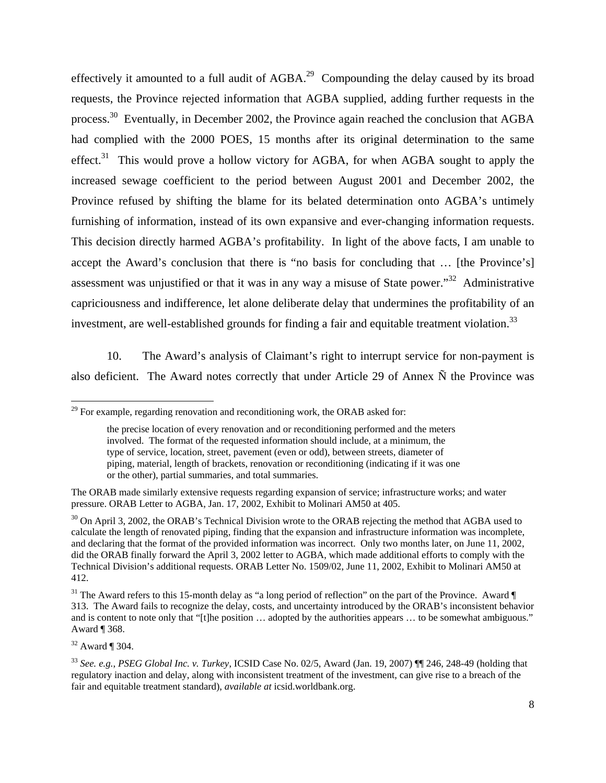effectively it amounted to a full audit of  $AGBA<sup>29</sup>$  Compounding the delay caused by its broad requests, the Province rejected information that AGBA supplied, adding further requests in the process.<sup>30</sup> Eventually, in December 2002, the Province again reached the conclusion that AGBA had complied with the 2000 POES, 15 months after its original determination to the same effect.<sup>31</sup> This would prove a hollow victory for AGBA, for when AGBA sought to apply the increased sewage coefficient to the period between August 2001 and December 2002, the Province refused by shifting the blame for its belated determination onto AGBA's untimely furnishing of information, instead of its own expansive and ever-changing information requests. This decision directly harmed AGBA's profitability. In light of the above facts, I am unable to accept the Award's conclusion that there is "no basis for concluding that … [the Province's] assessment was unjustified or that it was in any way a misuse of State power."32 Administrative capriciousness and indifference, let alone deliberate delay that undermines the profitability of an investment, are well-established grounds for finding a fair and equitable treatment violation.<sup>33</sup>

10. The Award's analysis of Claimant's right to interrupt service for non-payment is also deficient. The Award notes correctly that under Article 29 of Annex Ñ the Province was

 $32$  Award ¶ 304.

 $^{29}$  For example, regarding renovation and reconditioning work, the ORAB asked for:

the precise location of every renovation and or reconditioning performed and the meters involved. The format of the requested information should include, at a minimum, the type of service, location, street, pavement (even or odd), between streets, diameter of piping, material, length of brackets, renovation or reconditioning (indicating if it was one or the other), partial summaries, and total summaries.

The ORAB made similarly extensive requests regarding expansion of service; infrastructure works; and water pressure. ORAB Letter to AGBA, Jan. 17, 2002, Exhibit to Molinari AM50 at 405.

<sup>&</sup>lt;sup>30</sup> On April 3, 2002, the ORAB's Technical Division wrote to the ORAB rejecting the method that AGBA used to calculate the length of renovated piping, finding that the expansion and infrastructure information was incomplete, and declaring that the format of the provided information was incorrect. Only two months later, on June 11, 2002, did the ORAB finally forward the April 3, 2002 letter to AGBA, which made additional efforts to comply with the Technical Division's additional requests. ORAB Letter No. 1509/02, June 11, 2002, Exhibit to Molinari AM50 at 412.

 $31$  The Award refers to this 15-month delay as "a long period of reflection" on the part of the Province. Award  $\P$ 313. The Award fails to recognize the delay, costs, and uncertainty introduced by the ORAB's inconsistent behavior and is content to note only that "[t]he position … adopted by the authorities appears … to be somewhat ambiguous." Award ¶ 368.

<sup>33</sup> *See. e.g.*, *PSEG Global Inc. v. Turkey*, ICSID Case No. 02/5, Award (Jan. 19, 2007) ¶¶ 246, 248-49 (holding that regulatory inaction and delay, along with inconsistent treatment of the investment, can give rise to a breach of the fair and equitable treatment standard), *available at* icsid.worldbank.org.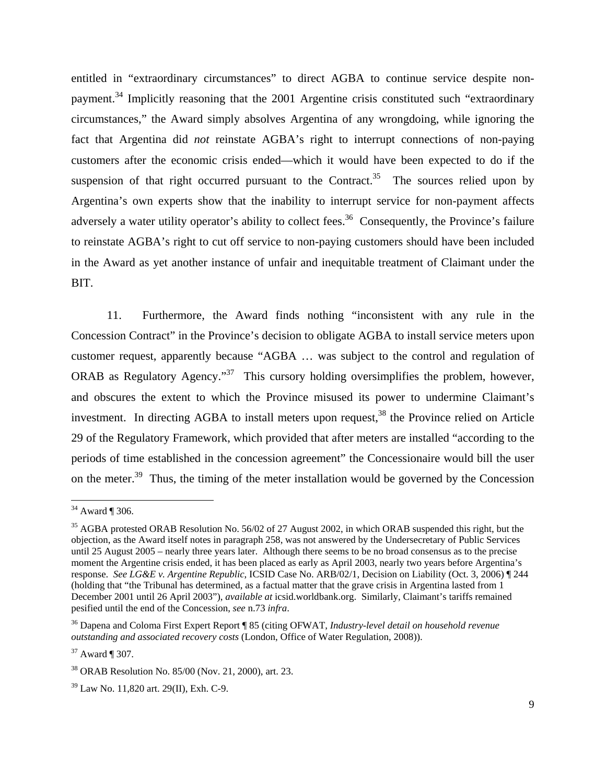entitled in "extraordinary circumstances" to direct AGBA to continue service despite nonpayment.<sup>34</sup> Implicitly reasoning that the 2001 Argentine crisis constituted such "extraordinary circumstances," the Award simply absolves Argentina of any wrongdoing, while ignoring the fact that Argentina did *not* reinstate AGBA's right to interrupt connections of non-paying customers after the economic crisis ended—which it would have been expected to do if the suspension of that right occurred pursuant to the Contract.<sup>35</sup> The sources relied upon by Argentina's own experts show that the inability to interrupt service for non-payment affects adversely a water utility operator's ability to collect fees.<sup>36</sup> Consequently, the Province's failure to reinstate AGBA's right to cut off service to non-paying customers should have been included in the Award as yet another instance of unfair and inequitable treatment of Claimant under the BIT.

11. Furthermore, the Award finds nothing "inconsistent with any rule in the Concession Contract" in the Province's decision to obligate AGBA to install service meters upon customer request, apparently because "AGBA … was subject to the control and regulation of ORAB as Regulatory Agency."<sup>37</sup> This cursory holding oversimplifies the problem, however, and obscures the extent to which the Province misused its power to undermine Claimant's investment. In directing AGBA to install meters upon request,  $38$  the Province relied on Article 29 of the Regulatory Framework, which provided that after meters are installed "according to the periods of time established in the concession agreement" the Concessionaire would bill the user on the meter.<sup>39</sup> Thus, the timing of the meter installation would be governed by the Concession

 $34$  Award ¶ 306.

<sup>&</sup>lt;sup>35</sup> AGBA protested ORAB Resolution No. 56/02 of 27 August 2002, in which ORAB suspended this right, but the objection, as the Award itself notes in paragraph 258, was not answered by the Undersecretary of Public Services until 25 August 2005 – nearly three years later. Although there seems to be no broad consensus as to the precise moment the Argentine crisis ended, it has been placed as early as April 2003, nearly two years before Argentina's response. *See LG&E v. Argentine Republic*, ICSID Case No. ARB/02/1, Decision on Liability (Oct. 3, 2006) ¶ 244 (holding that "the Tribunal has determined, as a factual matter that the grave crisis in Argentina lasted from 1 December 2001 until 26 April 2003"), *available at* icsid.worldbank.org. Similarly, Claimant's tariffs remained pesified until the end of the Concession, *see* n.73 *infra*.

<sup>36</sup> Dapena and Coloma First Expert Report ¶ 85 (citing OFWAT, *Industry-level detail on household revenue outstanding and associated recovery costs* (London, Office of Water Regulation, 2008)).

<sup>37</sup> Award ¶ 307.

<sup>38</sup> ORAB Resolution No. 85/00 (Nov. 21, 2000), art. 23.

<sup>39</sup> Law No. 11,820 art. 29(II), Exh. C-9.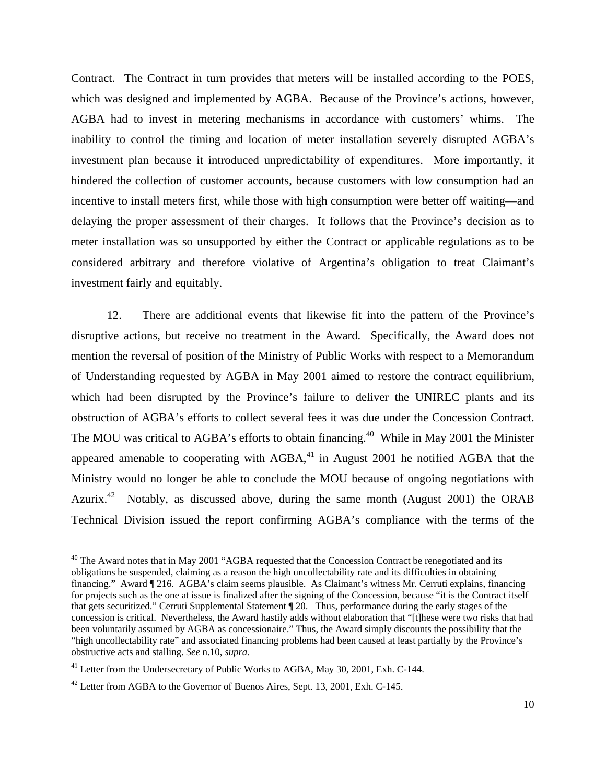Contract. The Contract in turn provides that meters will be installed according to the POES, which was designed and implemented by AGBA. Because of the Province's actions, however, AGBA had to invest in metering mechanisms in accordance with customers' whims. The inability to control the timing and location of meter installation severely disrupted AGBA's investment plan because it introduced unpredictability of expenditures. More importantly, it hindered the collection of customer accounts, because customers with low consumption had an incentive to install meters first, while those with high consumption were better off waiting—and delaying the proper assessment of their charges. It follows that the Province's decision as to meter installation was so unsupported by either the Contract or applicable regulations as to be considered arbitrary and therefore violative of Argentina's obligation to treat Claimant's investment fairly and equitably.

12. There are additional events that likewise fit into the pattern of the Province's disruptive actions, but receive no treatment in the Award. Specifically, the Award does not mention the reversal of position of the Ministry of Public Works with respect to a Memorandum of Understanding requested by AGBA in May 2001 aimed to restore the contract equilibrium, which had been disrupted by the Province's failure to deliver the UNIREC plants and its obstruction of AGBA's efforts to collect several fees it was due under the Concession Contract. The MOU was critical to AGBA's efforts to obtain financing.<sup>40</sup> While in May 2001 the Minister appeared amenable to cooperating with  $AGBA<sup>41</sup>$  in August 2001 he notified AGBA that the Ministry would no longer be able to conclude the MOU because of ongoing negotiations with Azurix.<sup>42</sup> Notably, as discussed above, during the same month (August 2001) the ORAB Technical Division issued the report confirming AGBA's compliance with the terms of the

 $40$  The Award notes that in May 2001 "AGBA requested that the Concession Contract be renegotiated and its obligations be suspended, claiming as a reason the high uncollectability rate and its difficulties in obtaining financing." Award ¶ 216. AGBA's claim seems plausible. As Claimant's witness Mr. Cerruti explains, financing for projects such as the one at issue is finalized after the signing of the Concession, because "it is the Contract itself that gets securitized." Cerruti Supplemental Statement ¶ 20. Thus, performance during the early stages of the concession is critical. Nevertheless, the Award hastily adds without elaboration that "[t]hese were two risks that had been voluntarily assumed by AGBA as concessionaire." Thus, the Award simply discounts the possibility that the "high uncollectability rate" and associated financing problems had been caused at least partially by the Province's obstructive acts and stalling. *See* n.10, *supra*.

<sup>&</sup>lt;sup>41</sup> Letter from the Undersecretary of Public Works to AGBA, May 30, 2001, Exh. C-144.

 $42$  Letter from AGBA to the Governor of Buenos Aires, Sept. 13, 2001, Exh. C-145.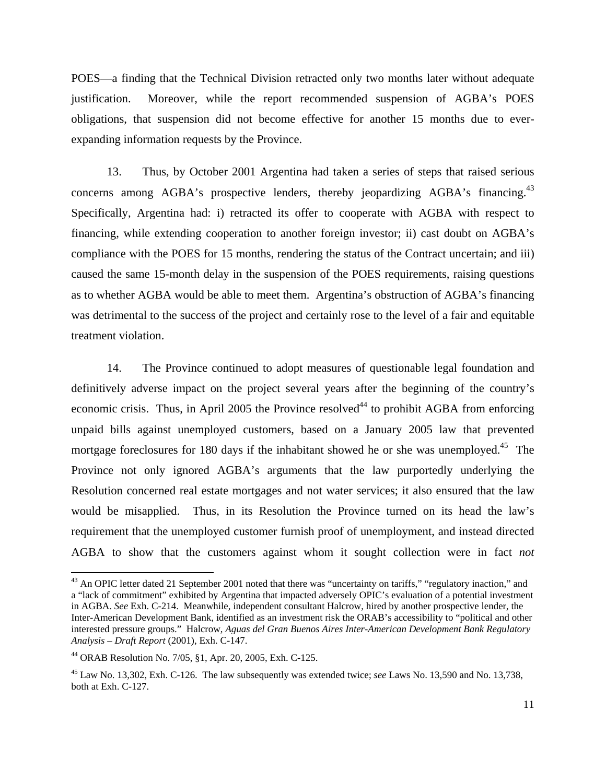POES—a finding that the Technical Division retracted only two months later without adequate justification. Moreover, while the report recommended suspension of AGBA's POES obligations, that suspension did not become effective for another 15 months due to everexpanding information requests by the Province.

13. Thus, by October 2001 Argentina had taken a series of steps that raised serious concerns among AGBA's prospective lenders, thereby jeopardizing AGBA's financing.<sup>43</sup> Specifically, Argentina had: i) retracted its offer to cooperate with AGBA with respect to financing, while extending cooperation to another foreign investor; ii) cast doubt on AGBA's compliance with the POES for 15 months, rendering the status of the Contract uncertain; and iii) caused the same 15-month delay in the suspension of the POES requirements, raising questions as to whether AGBA would be able to meet them. Argentina's obstruction of AGBA's financing was detrimental to the success of the project and certainly rose to the level of a fair and equitable treatment violation.

14. The Province continued to adopt measures of questionable legal foundation and definitively adverse impact on the project several years after the beginning of the country's economic crisis. Thus, in April 2005 the Province resolved<sup>44</sup> to prohibit AGBA from enforcing unpaid bills against unemployed customers, based on a January 2005 law that prevented mortgage foreclosures for 180 days if the inhabitant showed he or she was unemployed.<sup>45</sup> The Province not only ignored AGBA's arguments that the law purportedly underlying the Resolution concerned real estate mortgages and not water services; it also ensured that the law would be misapplied. Thus, in its Resolution the Province turned on its head the law's requirement that the unemployed customer furnish proof of unemployment, and instead directed AGBA to show that the customers against whom it sought collection were in fact *not*

<sup>&</sup>lt;sup>43</sup> An OPIC letter dated 21 September 2001 noted that there was "uncertainty on tariffs," "regulatory inaction," and a "lack of commitment" exhibited by Argentina that impacted adversely OPIC's evaluation of a potential investment in AGBA. *See* Exh. C-214. Meanwhile, independent consultant Halcrow, hired by another prospective lender, the Inter-American Development Bank, identified as an investment risk the ORAB's accessibility to "political and other interested pressure groups." Halcrow, *Aguas del Gran Buenos Aires Inter-American Development Bank Regulatory Analysis – Draft Report* (2001), Exh. C-147.

<sup>44</sup> ORAB Resolution No. 7/05, §1, Apr. 20, 2005, Exh. C-125.

<sup>45</sup> Law No. 13,302, Exh. C-126. The law subsequently was extended twice; *see* Laws No. 13,590 and No. 13,738, both at Exh. C-127.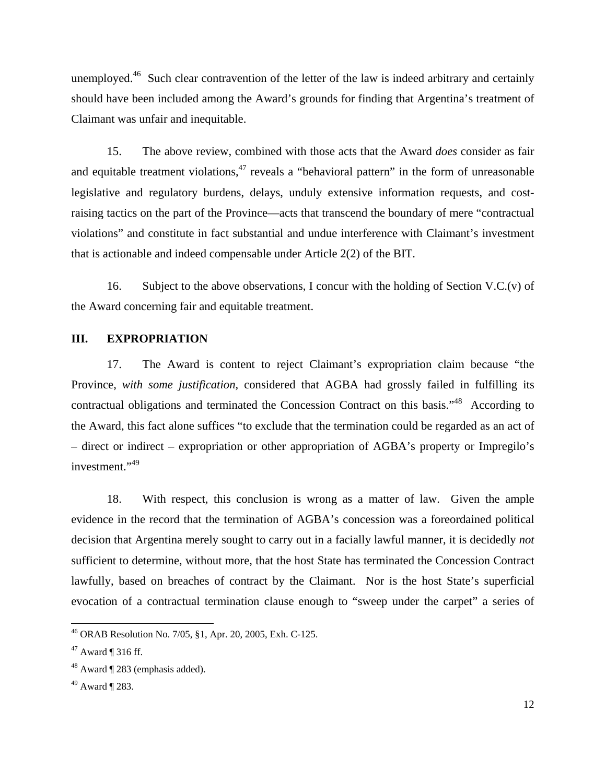unemployed.<sup>46</sup> Such clear contravention of the letter of the law is indeed arbitrary and certainly should have been included among the Award's grounds for finding that Argentina's treatment of Claimant was unfair and inequitable.

15. The above review, combined with those acts that the Award *does* consider as fair and equitable treatment violations, $47$  reveals a "behavioral pattern" in the form of unreasonable legislative and regulatory burdens, delays, unduly extensive information requests, and costraising tactics on the part of the Province—acts that transcend the boundary of mere "contractual violations" and constitute in fact substantial and undue interference with Claimant's investment that is actionable and indeed compensable under Article 2(2) of the BIT.

16. Subject to the above observations, I concur with the holding of Section V.C.(v) of the Award concerning fair and equitable treatment.

### **III. EXPROPRIATION**

17. The Award is content to reject Claimant's expropriation claim because "the Province, *with some justification*, considered that AGBA had grossly failed in fulfilling its contractual obligations and terminated the Concession Contract on this basis."<sup>48</sup> According to the Award, this fact alone suffices "to exclude that the termination could be regarded as an act of – direct or indirect – expropriation or other appropriation of AGBA's property or Impregilo's investment."<sup>49</sup>

18. With respect, this conclusion is wrong as a matter of law. Given the ample evidence in the record that the termination of AGBA's concession was a foreordained political decision that Argentina merely sought to carry out in a facially lawful manner, it is decidedly *not* sufficient to determine, without more, that the host State has terminated the Concession Contract lawfully, based on breaches of contract by the Claimant. Nor is the host State's superficial evocation of a contractual termination clause enough to "sweep under the carpet" a series of

<sup>46</sup> ORAB Resolution No. 7/05, §1, Apr. 20, 2005, Exh. C-125.

 $47$  Award ¶ 316 ff.

 $48$  Award  $\P$  283 (emphasis added).

 $49$  Award  $\P$  283.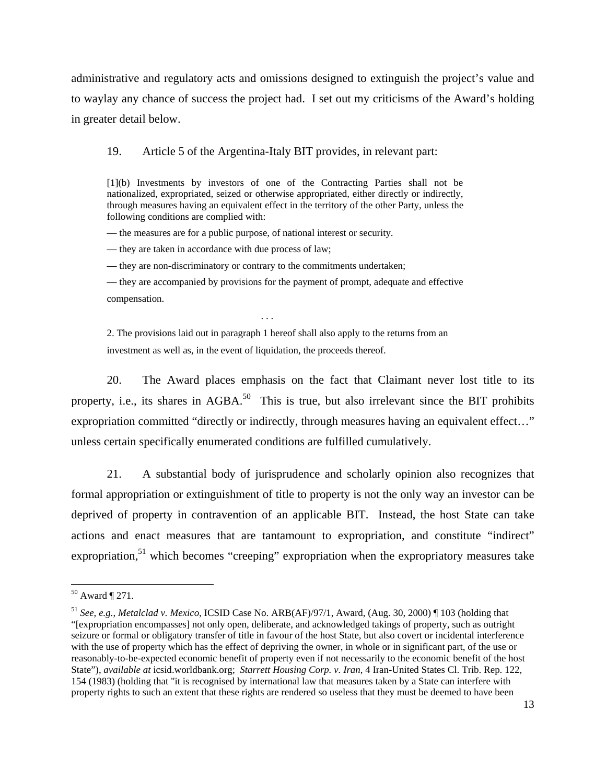administrative and regulatory acts and omissions designed to extinguish the project's value and to waylay any chance of success the project had. I set out my criticisms of the Award's holding in greater detail below.

#### 19. Article 5 of the Argentina-Italy BIT provides, in relevant part:

[1](b) Investments by investors of one of the Contracting Parties shall not be nationalized, expropriated, seized or otherwise appropriated, either directly or indirectly, through measures having an equivalent effect in the territory of the other Party, unless the following conditions are complied with:

— the measures are for a public purpose, of national interest or security.

— they are taken in accordance with due process of law;

— they are non-discriminatory or contrary to the commitments undertaken;

— they are accompanied by provisions for the payment of prompt, adequate and effective compensation.

2. The provisions laid out in paragraph 1 hereof shall also apply to the returns from an investment as well as, in the event of liquidation, the proceeds thereof.

. . .

20. The Award places emphasis on the fact that Claimant never lost title to its property, i.e., its shares in  $AGBA$ <sup>50</sup>. This is true, but also irrelevant since the BIT prohibits expropriation committed "directly or indirectly, through measures having an equivalent effect..." unless certain specifically enumerated conditions are fulfilled cumulatively.

21. A substantial body of jurisprudence and scholarly opinion also recognizes that formal appropriation or extinguishment of title to property is not the only way an investor can be deprived of property in contravention of an applicable BIT. Instead, the host State can take actions and enact measures that are tantamount to expropriation, and constitute "indirect" expropriation,<sup>51</sup> which becomes "creeping" expropriation when the expropriatory measures take

 $50$  Award  $\P$  271.

<sup>51</sup> *See, e.g.*, *Metalclad v. Mexico*, ICSID Case No. ARB(AF)/97/1, Award, (Aug. 30, 2000) ¶ 103 (holding that "[expropriation encompasses] not only open, deliberate, and acknowledged takings of property, such as outright seizure or formal or obligatory transfer of title in favour of the host State, but also covert or incidental interference with the use of property which has the effect of depriving the owner, in whole or in significant part, of the use or reasonably-to-be-expected economic benefit of property even if not necessarily to the economic benefit of the host State"), *available at* icsid.worldbank.org; *Starrett Housing Corp. v. Iran*, 4 Iran-United States Cl. Trib. Rep. 122, 154 (1983) (holding that "it is recognised by international law that measures taken by a State can interfere with property rights to such an extent that these rights are rendered so useless that they must be deemed to have been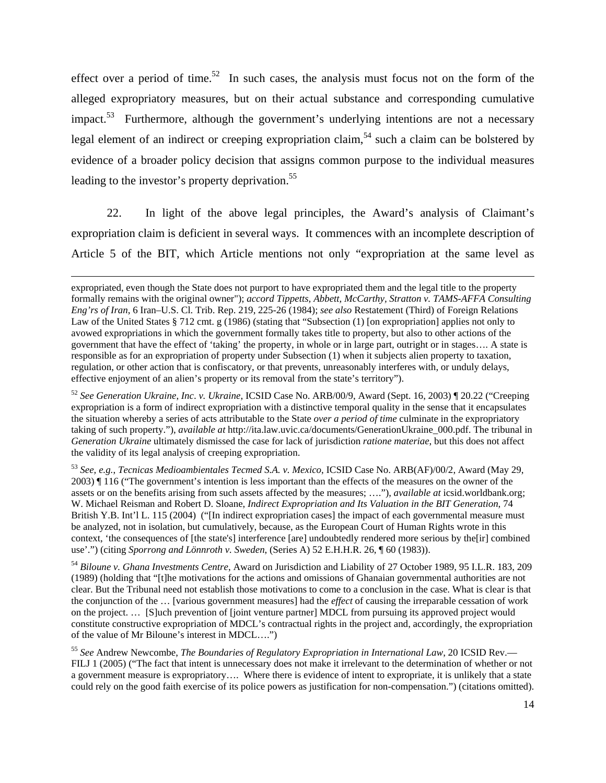effect over a period of time.<sup>52</sup> In such cases, the analysis must focus not on the form of the alleged expropriatory measures, but on their actual substance and corresponding cumulative impact.<sup>53</sup> Furthermore, although the government's underlying intentions are not a necessary legal element of an indirect or creeping expropriation claim,54 such a claim can be bolstered by evidence of a broader policy decision that assigns common purpose to the individual measures leading to the investor's property deprivation.<sup>55</sup>

22. In light of the above legal principles, the Award's analysis of Claimant's expropriation claim is deficient in several ways. It commences with an incomplete description of Article 5 of the BIT, which Article mentions not only "expropriation at the same level as

<u> 1989 - Johann Stein, marwolaethau a gweledydd a ganlad y ganlad y ganlad y ganlad y ganlad y ganlad y ganlad</u>

expropriated, even though the State does not purport to have expropriated them and the legal title to the property formally remains with the original owner"); *accord Tippetts, Abbett, McCarthy, Stratton v. TAMS-AFFA Consulting Eng'rs of Iran*, 6 Iran–U.S. Cl. Trib. Rep. 219, 225-26 (1984); *see also* Restatement (Third) of Foreign Relations Law of the United States § 712 cmt. g (1986) (stating that "Subsection (1) [on expropriation] applies not only to avowed expropriations in which the government formally takes title to property, but also to other actions of the government that have the effect of 'taking' the property, in whole or in large part, outright or in stages…. A state is responsible as for an expropriation of property under Subsection (1) when it subjects alien property to taxation, regulation, or other action that is confiscatory, or that prevents, unreasonably interferes with, or unduly delays, effective enjoyment of an alien's property or its removal from the state's territory").

<sup>52</sup> *See Generation Ukraine*, *Inc*. *v. Ukraine*, ICSID Case No. ARB/00/9, Award (Sept. 16, 2003) ¶ 20.22 ("Creeping expropriation is a form of indirect expropriation with a distinctive temporal quality in the sense that it encapsulates the situation whereby a series of acts attributable to the State *over a period of time* culminate in the expropriatory taking of such property."), *available at* http://ita.law.uvic.ca/documents/GenerationUkraine\_000.pdf. The tribunal in *Generation Ukraine* ultimately dismissed the case for lack of jurisdiction *ratione materiae*, but this does not affect the validity of its legal analysis of creeping expropriation.

<sup>53</sup> *See, e.g.*, *Tecnicas Medioambientales Tecmed S.A. v. Mexico*, ICSID Case No. ARB(AF)/00/2, Award (May 29, 2003) ¶ 116 ("The government's intention is less important than the effects of the measures on the owner of the assets or on the benefits arising from such assets affected by the measures; …."), *available at* icsid.worldbank.org; W. Michael Reisman and Robert D. Sloane, *Indirect Expropriation and Its Valuation in the BIT Generation*, 74 British Y.B. Int'l L. 115 (2004) ("[In indirect expropriation cases] the impact of each governmental measure must be analyzed, not in isolation, but cumulatively, because, as the European Court of Human Rights wrote in this context, 'the consequences of [the state's] interference [are] undoubtedly rendered more serious by the[ir] combined use'.") (citing *Sporrong and Lönnroth v. Sweden*, (Series A) 52 E.H.H.R. 26, ¶ 60 (1983)).

<sup>54</sup> *Biloune v. Ghana Investments Centre*, Award on Jurisdiction and Liability of 27 October 1989, 95 I.L.R. 183, 209 (1989) (holding that "[t]he motivations for the actions and omissions of Ghanaian governmental authorities are not clear. But the Tribunal need not establish those motivations to come to a conclusion in the case. What is clear is that the conjunction of the … [various government measures] had the *effect* of causing the irreparable cessation of work on the project. … [S]uch prevention of [joint venture partner] MDCL from pursuing its approved project would constitute constructive expropriation of MDCL's contractual rights in the project and, accordingly, the expropriation of the value of Mr Biloune's interest in MDCL….")

<sup>55</sup> *See* Andrew Newcombe, *The Boundaries of Regulatory Expropriation in International Law*, 20 ICSID Rev.— FILJ 1 (2005) ("The fact that intent is unnecessary does not make it irrelevant to the determination of whether or not a government measure is expropriatory…. Where there is evidence of intent to expropriate, it is unlikely that a state could rely on the good faith exercise of its police powers as justification for non-compensation.") (citations omitted).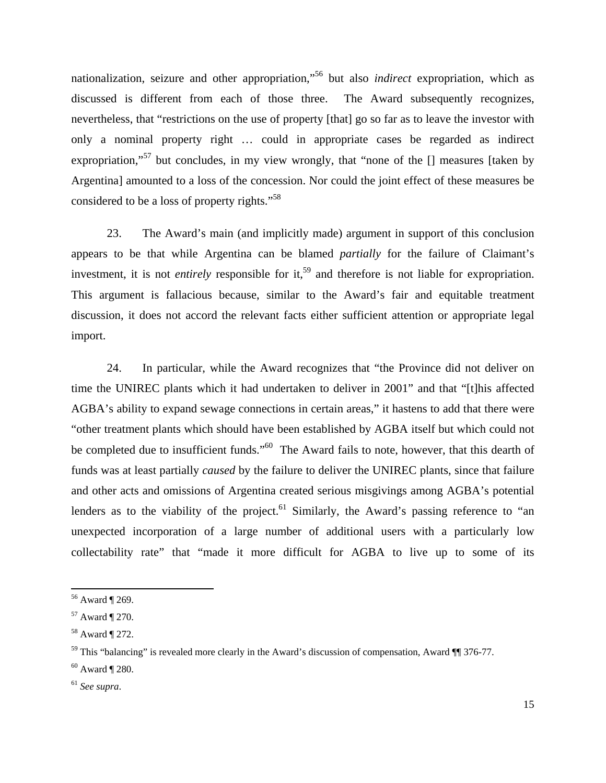nationalization, seizure and other appropriation,"56 but also *indirect* expropriation, which as discussed is different from each of those three. The Award subsequently recognizes, nevertheless, that "restrictions on the use of property [that] go so far as to leave the investor with only a nominal property right … could in appropriate cases be regarded as indirect expropriation,"<sup>57</sup> but concludes, in my view wrongly, that "none of the  $\Box$  measures [taken by Argentina] amounted to a loss of the concession. Nor could the joint effect of these measures be considered to be a loss of property rights."<sup>58</sup>

23. The Award's main (and implicitly made) argument in support of this conclusion appears to be that while Argentina can be blamed *partially* for the failure of Claimant's investment, it is not *entirely* responsible for it,<sup>59</sup> and therefore is not liable for expropriation. This argument is fallacious because, similar to the Award's fair and equitable treatment discussion, it does not accord the relevant facts either sufficient attention or appropriate legal import.

24. In particular, while the Award recognizes that "the Province did not deliver on time the UNIREC plants which it had undertaken to deliver in 2001" and that "[t]his affected AGBA's ability to expand sewage connections in certain areas," it hastens to add that there were "other treatment plants which should have been established by AGBA itself but which could not be completed due to insufficient funds."<sup>60</sup> The Award fails to note, however, that this dearth of funds was at least partially *caused* by the failure to deliver the UNIREC plants, since that failure and other acts and omissions of Argentina created serious misgivings among AGBA's potential lenders as to the viability of the project.<sup>61</sup> Similarly, the Award's passing reference to "an unexpected incorporation of a large number of additional users with a particularly low collectability rate" that "made it more difficult for AGBA to live up to some of its

<sup>56</sup> Award ¶ 269.

<sup>57</sup> Award ¶ 270.

<sup>58</sup> Award ¶ 272.

<sup>&</sup>lt;sup>59</sup> This "balancing" is revealed more clearly in the Award's discussion of compensation, Award  $\P$  376-77.

 $60$  Award ¶ 280.

<sup>61</sup> *See supra*.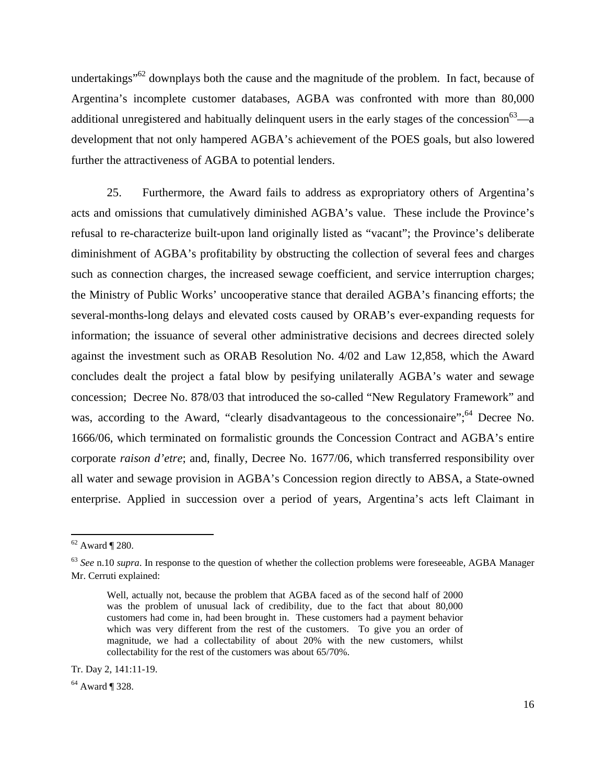undertakings<sup> $.62$ </sup> downplays both the cause and the magnitude of the problem. In fact, because of Argentina's incomplete customer databases, AGBA was confronted with more than 80,000 additional unregistered and habitually delinquent users in the early stages of the concession<sup>63</sup>—a development that not only hampered AGBA's achievement of the POES goals, but also lowered further the attractiveness of AGBA to potential lenders.

25. Furthermore, the Award fails to address as expropriatory others of Argentina's acts and omissions that cumulatively diminished AGBA's value. These include the Province's refusal to re-characterize built-upon land originally listed as "vacant"; the Province's deliberate diminishment of AGBA's profitability by obstructing the collection of several fees and charges such as connection charges, the increased sewage coefficient, and service interruption charges; the Ministry of Public Works' uncooperative stance that derailed AGBA's financing efforts; the several-months-long delays and elevated costs caused by ORAB's ever-expanding requests for information; the issuance of several other administrative decisions and decrees directed solely against the investment such as ORAB Resolution No. 4/02 and Law 12,858, which the Award concludes dealt the project a fatal blow by pesifying unilaterally AGBA's water and sewage concession; Decree No. 878/03 that introduced the so-called "New Regulatory Framework" and was, according to the Award, "clearly disadvantageous to the concessionaire":<sup>64</sup> Decree No. 1666/06, which terminated on formalistic grounds the Concession Contract and AGBA's entire corporate *raison d'etre*; and, finally, Decree No. 1677/06, which transferred responsibility over all water and sewage provision in AGBA's Concession region directly to ABSA, a State-owned enterprise. Applied in succession over a period of years, Argentina's acts left Claimant in

<sup>62</sup> Award ¶ 280.

<sup>63</sup> *See* n.10 *supra*. In response to the question of whether the collection problems were foreseeable, AGBA Manager Mr. Cerruti explained:

Well, actually not, because the problem that AGBA faced as of the second half of 2000 was the problem of unusual lack of credibility, due to the fact that about 80,000 customers had come in, had been brought in. These customers had a payment behavior which was very different from the rest of the customers. To give you an order of magnitude, we had a collectability of about 20% with the new customers, whilst collectability for the rest of the customers was about 65/70%.

Tr. Day 2, 141:11-19.

<sup>64</sup> Award ¶ 328.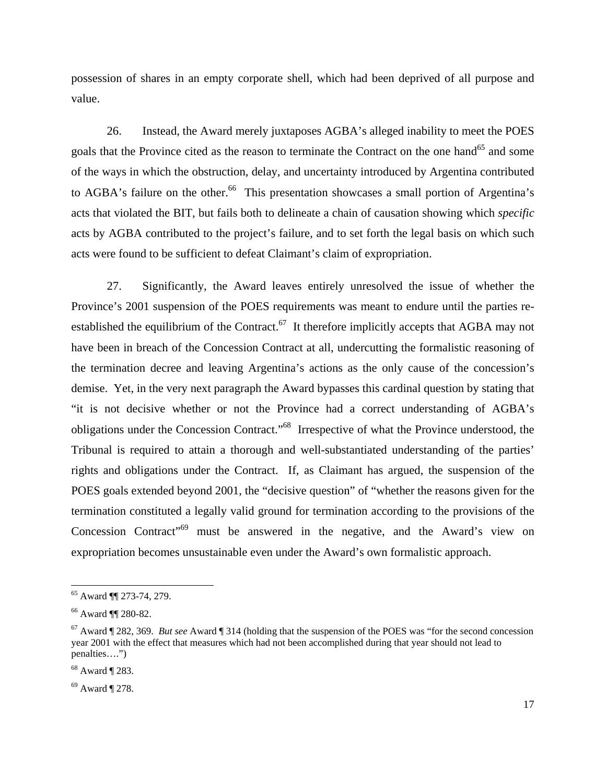possession of shares in an empty corporate shell, which had been deprived of all purpose and value.

26. Instead, the Award merely juxtaposes AGBA's alleged inability to meet the POES goals that the Province cited as the reason to terminate the Contract on the one hand<sup>65</sup> and some of the ways in which the obstruction, delay, and uncertainty introduced by Argentina contributed to AGBA's failure on the other.<sup>66</sup> This presentation showcases a small portion of Argentina's acts that violated the BIT, but fails both to delineate a chain of causation showing which *specific* acts by AGBA contributed to the project's failure, and to set forth the legal basis on which such acts were found to be sufficient to defeat Claimant's claim of expropriation.

27. Significantly, the Award leaves entirely unresolved the issue of whether the Province's 2001 suspension of the POES requirements was meant to endure until the parties reestablished the equilibrium of the Contract.<sup>67</sup> It therefore implicitly accepts that AGBA may not have been in breach of the Concession Contract at all, undercutting the formalistic reasoning of the termination decree and leaving Argentina's actions as the only cause of the concession's demise. Yet, in the very next paragraph the Award bypasses this cardinal question by stating that "it is not decisive whether or not the Province had a correct understanding of AGBA's obligations under the Concession Contract."68 Irrespective of what the Province understood, the Tribunal is required to attain a thorough and well-substantiated understanding of the parties' rights and obligations under the Contract. If, as Claimant has argued, the suspension of the POES goals extended beyond 2001, the "decisive question" of "whether the reasons given for the termination constituted a legally valid ground for termination according to the provisions of the Concession Contract"69 must be answered in the negative, and the Award's view on expropriation becomes unsustainable even under the Award's own formalistic approach.

<sup>65</sup> Award ¶¶ 273-74, 279.

<sup>66</sup> Award ¶¶ 280-82.

<sup>67</sup> Award ¶ 282, 369. *But see* Award ¶ 314 (holding that the suspension of the POES was "for the second concession year 2001 with the effect that measures which had not been accomplished during that year should not lead to penalties….")

<sup>68</sup> Award ¶ 283.

 $69$  Award ¶ 278.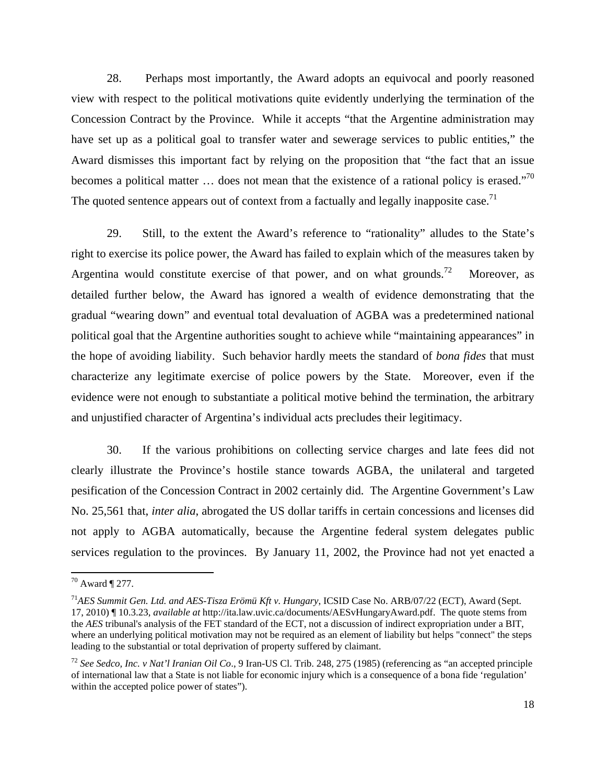28. Perhaps most importantly, the Award adopts an equivocal and poorly reasoned view with respect to the political motivations quite evidently underlying the termination of the Concession Contract by the Province. While it accepts "that the Argentine administration may have set up as a political goal to transfer water and sewerage services to public entities," the Award dismisses this important fact by relying on the proposition that "the fact that an issue becomes a political matter ... does not mean that the existence of a rational policy is erased."<sup>70</sup> The quoted sentence appears out of context from a factually and legally inapposite case.<sup>71</sup>

29. Still, to the extent the Award's reference to "rationality" alludes to the State's right to exercise its police power, the Award has failed to explain which of the measures taken by Argentina would constitute exercise of that power, and on what grounds.<sup>72</sup> Moreover, as detailed further below, the Award has ignored a wealth of evidence demonstrating that the gradual "wearing down" and eventual total devaluation of AGBA was a predetermined national political goal that the Argentine authorities sought to achieve while "maintaining appearances" in the hope of avoiding liability. Such behavior hardly meets the standard of *bona fides* that must characterize any legitimate exercise of police powers by the State. Moreover, even if the evidence were not enough to substantiate a political motive behind the termination, the arbitrary and unjustified character of Argentina's individual acts precludes their legitimacy.

30. If the various prohibitions on collecting service charges and late fees did not clearly illustrate the Province's hostile stance towards AGBA, the unilateral and targeted pesification of the Concession Contract in 2002 certainly did. The Argentine Government's Law No. 25,561 that, *inter alia*, abrogated the US dollar tariffs in certain concessions and licenses did not apply to AGBA automatically, because the Argentine federal system delegates public services regulation to the provinces. By January 11, 2002, the Province had not yet enacted a

 $70$  Award ¶ 277.

<sup>71</sup>*AES Summit Gen. Ltd. and AES-Tisza Erömü Kft v. Hungary*, ICSID Case No. ARB/07/22 (ECT), Award (Sept. 17, 2010) ¶ 10.3.23, *available at* http://ita.law.uvic.ca/documents/AESvHungaryAward.pdf. The quote stems from the *AES* tribunal's analysis of the FET standard of the ECT, not a discussion of indirect expropriation under a BIT, where an underlying political motivation may not be required as an element of liability but helps "connect" the steps leading to the substantial or total deprivation of property suffered by claimant.

<sup>72</sup> *See Sedco, Inc. v Nat'l Iranian Oil Co*., 9 Iran-US Cl. Trib. 248, 275 (1985) (referencing as "an accepted principle of international law that a State is not liable for economic injury which is a consequence of a bona fide 'regulation' within the accepted police power of states").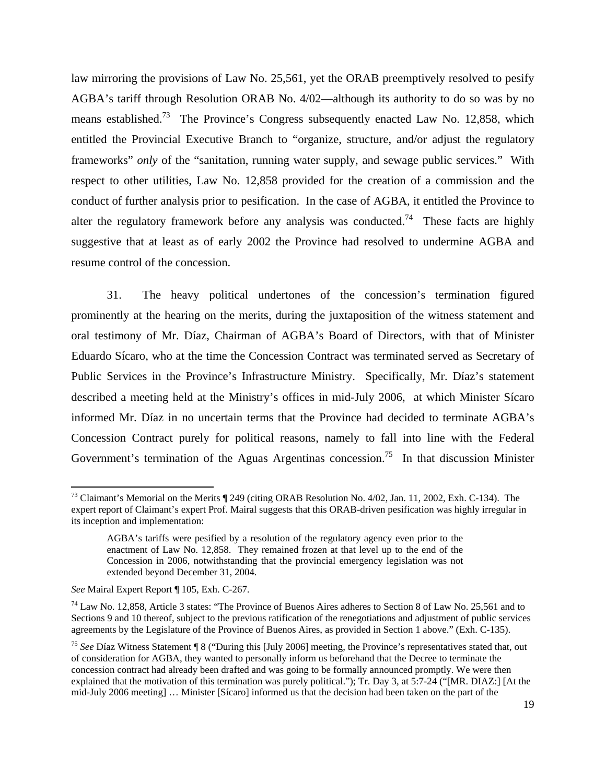law mirroring the provisions of Law No. 25,561, yet the ORAB preemptively resolved to pesify AGBA's tariff through Resolution ORAB No. 4/02—although its authority to do so was by no means established.<sup>73</sup> The Province's Congress subsequently enacted Law No. 12,858, which entitled the Provincial Executive Branch to "organize, structure, and/or adjust the regulatory frameworks" *only* of the "sanitation, running water supply, and sewage public services." With respect to other utilities, Law No. 12,858 provided for the creation of a commission and the conduct of further analysis prior to pesification. In the case of AGBA, it entitled the Province to alter the regulatory framework before any analysis was conducted.<sup>74</sup> These facts are highly suggestive that at least as of early 2002 the Province had resolved to undermine AGBA and resume control of the concession.

31. The heavy political undertones of the concession's termination figured prominently at the hearing on the merits, during the juxtaposition of the witness statement and oral testimony of Mr. Díaz, Chairman of AGBA's Board of Directors, with that of Minister Eduardo Sícaro, who at the time the Concession Contract was terminated served as Secretary of Public Services in the Province's Infrastructure Ministry. Specifically, Mr. Díaz's statement described a meeting held at the Ministry's offices in mid-July 2006, at which Minister Sícaro informed Mr. Díaz in no uncertain terms that the Province had decided to terminate AGBA's Concession Contract purely for political reasons, namely to fall into line with the Federal Government's termination of the Aguas Argentinas concession.<sup>75</sup> In that discussion Minister

<sup>&</sup>lt;sup>73</sup> Claimant's Memorial on the Merits ¶ 249 (citing ORAB Resolution No. 4/02, Jan. 11, 2002, Exh. C-134). The expert report of Claimant's expert Prof. Mairal suggests that this ORAB-driven pesification was highly irregular in its inception and implementation:

AGBA's tariffs were pesified by a resolution of the regulatory agency even prior to the enactment of Law No. 12,858. They remained frozen at that level up to the end of the Concession in 2006, notwithstanding that the provincial emergency legislation was not extended beyond December 31, 2004.

*See* Mairal Expert Report ¶ 105, Exh. C-267.

<sup>&</sup>lt;sup>74</sup> Law No. 12,858, Article 3 states: "The Province of Buenos Aires adheres to Section 8 of Law No. 25,561 and to Sections 9 and 10 thereof, subject to the previous ratification of the renegotiations and adjustment of public services agreements by the Legislature of the Province of Buenos Aires, as provided in Section 1 above." (Exh. C-135).

<sup>75</sup> *See* Díaz Witness Statement ¶ 8 ("During this [July 2006] meeting, the Province's representatives stated that, out of consideration for AGBA, they wanted to personally inform us beforehand that the Decree to terminate the concession contract had already been drafted and was going to be formally announced promptly. We were then explained that the motivation of this termination was purely political."); Tr. Day 3, at 5:7-24 ("[MR. DIAZ:] [At the mid-July 2006 meeting] … Minister [Sícaro] informed us that the decision had been taken on the part of the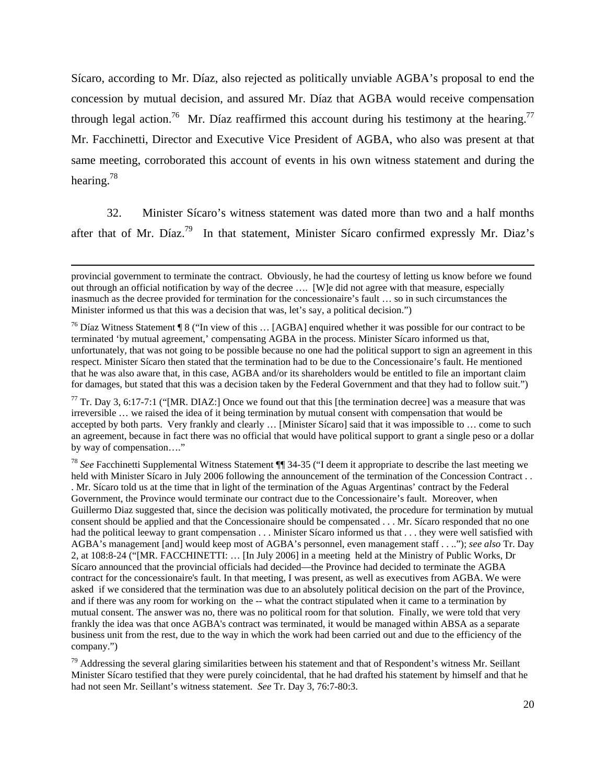Sícaro, according to Mr. Díaz, also rejected as politically unviable AGBA's proposal to end the concession by mutual decision, and assured Mr. Díaz that AGBA would receive compensation through legal action.<sup>76</sup> Mr. Díaz reaffirmed this account during his testimony at the hearing.<sup>77</sup> Mr. Facchinetti, Director and Executive Vice President of AGBA, who also was present at that same meeting, corroborated this account of events in his own witness statement and during the hearing.78

32. Minister Sícaro's witness statement was dated more than two and a half months after that of Mr. Díaz.<sup>79</sup> In that statement, Minister Sícaro confirmed expressly Mr. Diaz's

<u> 1989 - Johann Stein, marwolaethau a gweledydd a ganlad y ganlad y ganlad y ganlad y ganlad y ganlad y ganlad</u>

 $77$  Tr. Day 3, 6:17-7:1 ("[MR. DIAZ:] Once we found out that this [the termination decree] was a measure that was irreversible … we raised the idea of it being termination by mutual consent with compensation that would be accepted by both parts. Very frankly and clearly … [Minister Sícaro] said that it was impossible to … come to such an agreement, because in fact there was no official that would have political support to grant a single peso or a dollar by way of compensation…."

<sup>78</sup> *See* Facchinetti Supplemental Witness Statement ¶¶ 34-35 ("I deem it appropriate to describe the last meeting we held with Minister Sícaro in July 2006 following the announcement of the termination of the Concession Contract . . . Mr. Sícaro told us at the time that in light of the termination of the Aguas Argentinas' contract by the Federal Government, the Province would terminate our contract due to the Concessionaire's fault. Moreover, when Guillermo Diaz suggested that, since the decision was politically motivated, the procedure for termination by mutual consent should be applied and that the Concessionaire should be compensated . . . Mr. Sícaro responded that no one had the political leeway to grant compensation . . . Minister Sícaro informed us that . . . they were well satisfied with AGBA's management [and] would keep most of AGBA's personnel, even management staff . . .."); *see also* Tr. Day 2, at 108:8-24 ("[MR. FACCHINETTI: … [In July 2006] in a meeting held at the Ministry of Public Works, Dr Sícaro announced that the provincial officials had decided—the Province had decided to terminate the AGBA contract for the concessionaire's fault. In that meeting, I was present, as well as executives from AGBA. We were asked if we considered that the termination was due to an absolutely political decision on the part of the Province, and if there was any room for working on the -- what the contract stipulated when it came to a termination by mutual consent. The answer was no, there was no political room for that solution. Finally, we were told that very frankly the idea was that once AGBA's contract was terminated, it would be managed within ABSA as a separate business unit from the rest, due to the way in which the work had been carried out and due to the efficiency of the company.")

 $79$  Addressing the several glaring similarities between his statement and that of Respondent's witness Mr. Seillant Minister Sícaro testified that they were purely coincidental, that he had drafted his statement by himself and that he had not seen Mr. Seillant's witness statement. *See* Tr. Day 3, 76:7-80:3.

provincial government to terminate the contract. Obviously, he had the courtesy of letting us know before we found out through an official notification by way of the decree …. [W]e did not agree with that measure, especially inasmuch as the decree provided for termination for the concessionaire's fault … so in such circumstances the Minister informed us that this was a decision that was, let's say, a political decision.")

<sup>76</sup> Díaz Witness Statement ¶ 8 ("In view of this … [AGBA] enquired whether it was possible for our contract to be terminated 'by mutual agreement,' compensating AGBA in the process. Minister Sícaro informed us that, unfortunately, that was not going to be possible because no one had the political support to sign an agreement in this respect. Minister Sícaro then stated that the termination had to be due to the Concessionaire's fault. He mentioned that he was also aware that, in this case, AGBA and/or its shareholders would be entitled to file an important claim for damages, but stated that this was a decision taken by the Federal Government and that they had to follow suit.")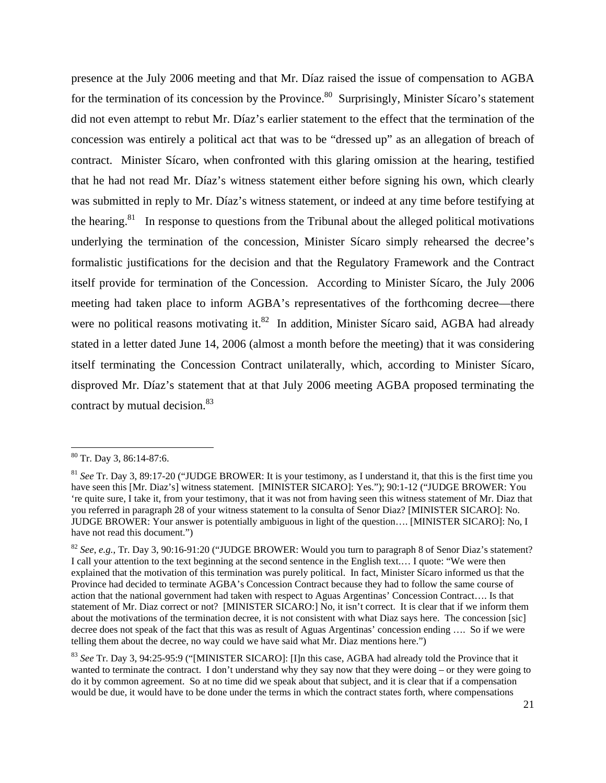presence at the July 2006 meeting and that Mr. Díaz raised the issue of compensation to AGBA for the termination of its concession by the Province.<sup>80</sup> Surprisingly, Minister Sícaro's statement did not even attempt to rebut Mr. Díaz's earlier statement to the effect that the termination of the concession was entirely a political act that was to be "dressed up" as an allegation of breach of contract. Minister Sícaro, when confronted with this glaring omission at the hearing, testified that he had not read Mr. Díaz's witness statement either before signing his own, which clearly was submitted in reply to Mr. Díaz's witness statement, or indeed at any time before testifying at the hearing.<sup>81</sup> In response to questions from the Tribunal about the alleged political motivations underlying the termination of the concession, Minister Sícaro simply rehearsed the decree's formalistic justifications for the decision and that the Regulatory Framework and the Contract itself provide for termination of the Concession. According to Minister Sícaro, the July 2006 meeting had taken place to inform AGBA's representatives of the forthcoming decree—there were no political reasons motivating it. ${}^{82}$  In addition, Minister Sícaro said, AGBA had already stated in a letter dated June 14, 2006 (almost a month before the meeting) that it was considering itself terminating the Concession Contract unilaterally, which, according to Minister Sícaro, disproved Mr. Díaz's statement that at that July 2006 meeting AGBA proposed terminating the contract by mutual decision.<sup>83</sup>

<sup>80</sup> Tr. Day 3, 86:14-87:6.

<sup>81</sup> *See* Tr. Day 3, 89:17-20 ("JUDGE BROWER: It is your testimony, as I understand it, that this is the first time you have seen this [Mr. Diaz's] witness statement. [MINISTER SICARO]: Yes."); 90:1-12 ("JUDGE BROWER: You 're quite sure, I take it, from your testimony, that it was not from having seen this witness statement of Mr. Diaz that you referred in paragraph 28 of your witness statement to la consulta of Senor Diaz? [MINISTER SICARO]: No. JUDGE BROWER: Your answer is potentially ambiguous in light of the question…. [MINISTER SICARO]: No, I have not read this document.")

<sup>82</sup> *See*, *e.g.*, Tr. Day 3, 90:16-91:20 ("JUDGE BROWER: Would you turn to paragraph 8 of Senor Diaz's statement? I call your attention to the text beginning at the second sentence in the English text.… I quote: "We were then explained that the motivation of this termination was purely political. In fact, Minister Sícaro informed us that the Province had decided to terminate AGBA's Concession Contract because they had to follow the same course of action that the national government had taken with respect to Aguas Argentinas' Concession Contract…. Is that statement of Mr. Diaz correct or not? [MINISTER SICARO:] No, it isn't correct. It is clear that if we inform them about the motivations of the termination decree, it is not consistent with what Diaz says here. The concession [sic] decree does not speak of the fact that this was as result of Aguas Argentinas' concession ending …. So if we were telling them about the decree, no way could we have said what Mr. Diaz mentions here.")

<sup>83</sup> *See* Tr. Day 3, 94:25-95:9 ("[MINISTER SICARO]: [I]n this case, AGBA had already told the Province that it wanted to terminate the contract. I don't understand why they say now that they were doing – or they were going to do it by common agreement. So at no time did we speak about that subject, and it is clear that if a compensation would be due, it would have to be done under the terms in which the contract states forth, where compensations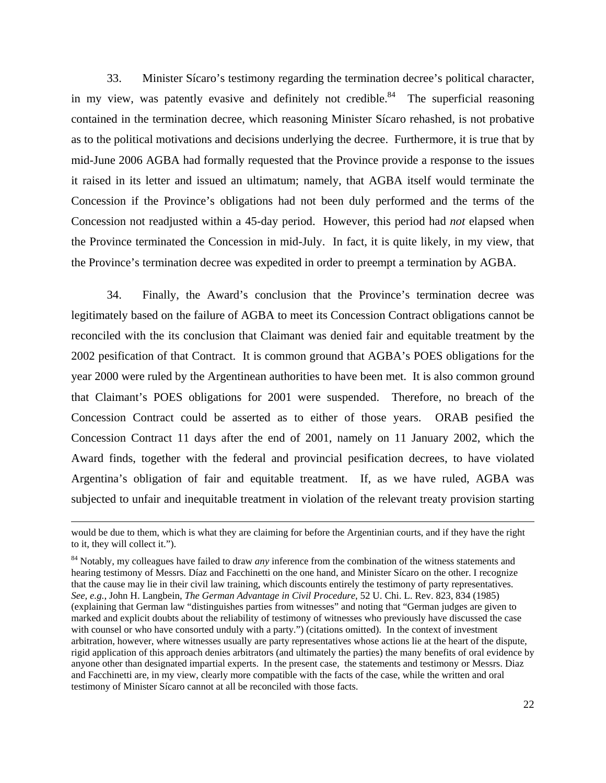33. Minister Sícaro's testimony regarding the termination decree's political character, in my view, was patently evasive and definitely not credible.<sup>84</sup> The superficial reasoning contained in the termination decree, which reasoning Minister Sícaro rehashed, is not probative as to the political motivations and decisions underlying the decree. Furthermore, it is true that by mid-June 2006 AGBA had formally requested that the Province provide a response to the issues it raised in its letter and issued an ultimatum; namely, that AGBA itself would terminate the Concession if the Province's obligations had not been duly performed and the terms of the Concession not readjusted within a 45-day period. However, this period had *not* elapsed when the Province terminated the Concession in mid-July. In fact, it is quite likely, in my view, that the Province's termination decree was expedited in order to preempt a termination by AGBA.

34. Finally, the Award's conclusion that the Province's termination decree was legitimately based on the failure of AGBA to meet its Concession Contract obligations cannot be reconciled with the its conclusion that Claimant was denied fair and equitable treatment by the 2002 pesification of that Contract. It is common ground that AGBA's POES obligations for the year 2000 were ruled by the Argentinean authorities to have been met. It is also common ground that Claimant's POES obligations for 2001 were suspended. Therefore, no breach of the Concession Contract could be asserted as to either of those years. ORAB pesified the Concession Contract 11 days after the end of 2001, namely on 11 January 2002, which the Award finds, together with the federal and provincial pesification decrees, to have violated Argentina's obligation of fair and equitable treatment. If, as we have ruled, AGBA was subjected to unfair and inequitable treatment in violation of the relevant treaty provision starting

<u> 1989 - Johann Stein, marwolaethau a gweledydd a ganlad y ganlad y ganlad y ganlad y ganlad y ganlad y ganlad</u>

would be due to them, which is what they are claiming for before the Argentinian courts, and if they have the right to it, they will collect it.").

<sup>&</sup>lt;sup>84</sup> Notably, my colleagues have failed to draw *any* inference from the combination of the witness statements and hearing testimony of Messrs. Díaz and Facchinetti on the one hand, and Minister Sícaro on the other. I recognize that the cause may lie in their civil law training, which discounts entirely the testimony of party representatives. *See, e.g.*, John H. Langbein, *The German Advantage in Civil Procedure*, 52 U. Chi. L. Rev. 823, 834 (1985) (explaining that German law "distinguishes parties from witnesses" and noting that "German judges are given to marked and explicit doubts about the reliability of testimony of witnesses who previously have discussed the case with counsel or who have consorted unduly with a party.") (citations omitted). In the context of investment arbitration, however, where witnesses usually are party representatives whose actions lie at the heart of the dispute, rigid application of this approach denies arbitrators (and ultimately the parties) the many benefits of oral evidence by anyone other than designated impartial experts. In the present case, the statements and testimony or Messrs. Diaz and Facchinetti are, in my view, clearly more compatible with the facts of the case, while the written and oral testimony of Minister Sícaro cannot at all be reconciled with those facts.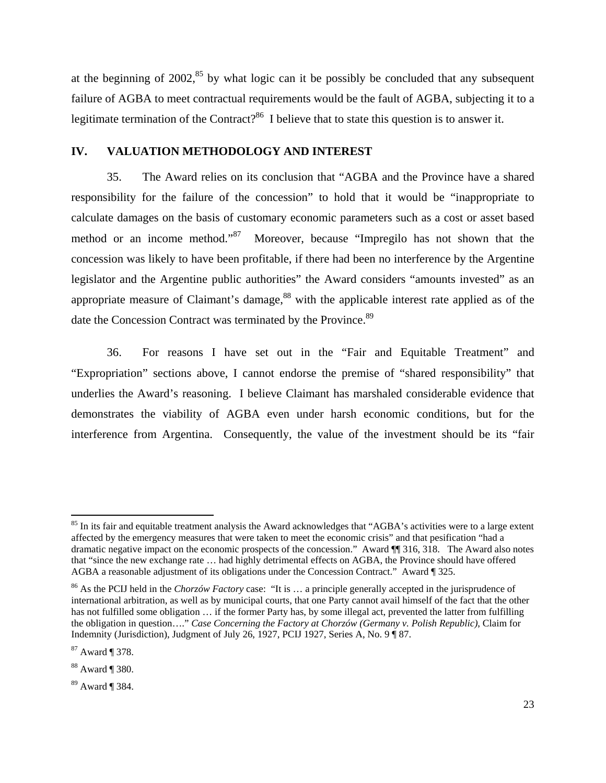at the beginning of  $2002<sup>85</sup>$  by what logic can it be possibly be concluded that any subsequent failure of AGBA to meet contractual requirements would be the fault of AGBA, subjecting it to a legitimate termination of the Contract?<sup>86</sup> I believe that to state this question is to answer it.

#### **IV. VALUATION METHODOLOGY AND INTEREST**

35. The Award relies on its conclusion that "AGBA and the Province have a shared responsibility for the failure of the concession" to hold that it would be "inappropriate to calculate damages on the basis of customary economic parameters such as a cost or asset based method or an income method."87 Moreover, because "Impregilo has not shown that the concession was likely to have been profitable, if there had been no interference by the Argentine legislator and the Argentine public authorities" the Award considers "amounts invested" as an appropriate measure of Claimant's damage, $88$  with the applicable interest rate applied as of the date the Concession Contract was terminated by the Province.<sup>89</sup>

36. For reasons I have set out in the "Fair and Equitable Treatment" and "Expropriation" sections above, I cannot endorse the premise of "shared responsibility" that underlies the Award's reasoning. I believe Claimant has marshaled considerable evidence that demonstrates the viability of AGBA even under harsh economic conditions, but for the interference from Argentina.Consequently, the value of the investment should be its "fair

 $85$  In its fair and equitable treatment analysis the Award acknowledges that "AGBA's activities were to a large extent affected by the emergency measures that were taken to meet the economic crisis" and that pesification "had a dramatic negative impact on the economic prospects of the concession." Award ¶¶ 316, 318. The Award also notes that "since the new exchange rate … had highly detrimental effects on AGBA, the Province should have offered AGBA a reasonable adjustment of its obligations under the Concession Contract." Award ¶ 325.

<sup>86</sup> As the PCIJ held in the *Chorzów Factory* case: "It is … a principle generally accepted in the jurisprudence of international arbitration, as well as by municipal courts, that one Party cannot avail himself of the fact that the other has not fulfilled some obligation ... if the former Party has, by some illegal act, prevented the latter from fulfilling the obligation in question…." *Case Concerning the Factory at Chorzów (Germany v. Polish Republic)*, Claim for Indemnity (Jurisdiction), Judgment of July 26, 1927, PCIJ 1927, Series A, No. 9 ¶ 87.

<sup>87</sup> Award ¶ 378.

<sup>88</sup> Award ¶ 380.

<sup>89</sup> Award ¶ 384.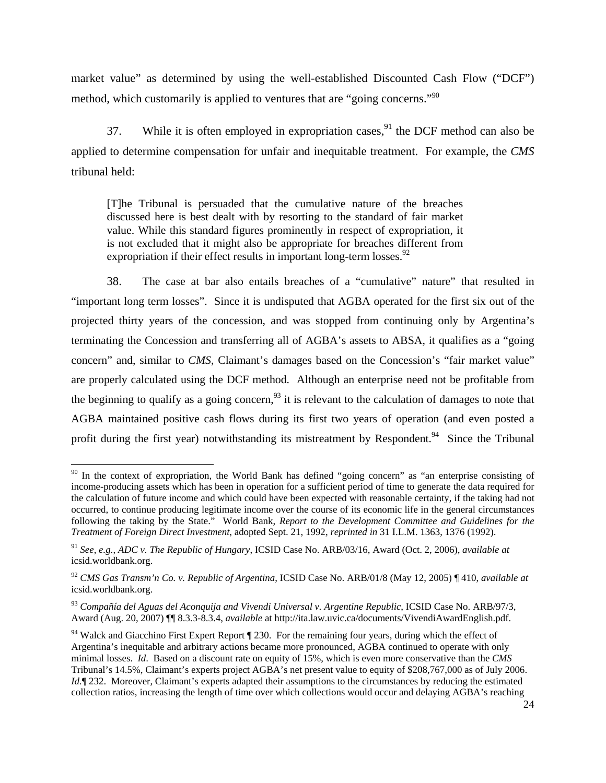market value" as determined by using the well-established Discounted Cash Flow ("DCF") method, which customarily is applied to ventures that are "going concerns."<sup>90</sup>

37. While it is often employed in expropriation cases,  $91$  the DCF method can also be applied to determine compensation for unfair and inequitable treatment. For example, the *CMS*  tribunal held:

[T]he Tribunal is persuaded that the cumulative nature of the breaches discussed here is best dealt with by resorting to the standard of fair market value. While this standard figures prominently in respect of expropriation, it is not excluded that it might also be appropriate for breaches different from expropriation if their effect results in important long-term losses. $92$ 

38. The case at bar also entails breaches of a "cumulative" nature" that resulted in "important long term losses". Since it is undisputed that AGBA operated for the first six out of the projected thirty years of the concession, and was stopped from continuing only by Argentina's terminating the Concession and transferring all of AGBA's assets to ABSA, it qualifies as a "going concern" and, similar to *CMS*, Claimant's damages based on the Concession's "fair market value" are properly calculated using the DCF method. Although an enterprise need not be profitable from the beginning to qualify as a going concern,  $93$  it is relevant to the calculation of damages to note that AGBA maintained positive cash flows during its first two years of operation (and even posted a profit during the first year) notwithstanding its mistreatment by Respondent.<sup>94</sup> Since the Tribunal

 $90$  In the context of expropriation, the World Bank has defined "going concern" as "an enterprise consisting of income-producing assets which has been in operation for a sufficient period of time to generate the data required for the calculation of future income and which could have been expected with reasonable certainty, if the taking had not occurred, to continue producing legitimate income over the course of its economic life in the general circumstances following the taking by the State." World Bank, *Report to the Development Committee and Guidelines for the Treatment of Foreign Direct Investment*, adopted Sept. 21, 1992, *reprinted in* 31 I.L.M. 1363, 1376 (1992).

<sup>91</sup> *See*, *e.g.*, *ADC v. The Republic of Hungary*, ICSID Case No. ARB/03/16, Award (Oct. 2, 2006), *available at*  icsid.worldbank.org.

<sup>92</sup> *CMS Gas Transm'n Co. v. Republic of Argentina*, ICSID Case No. ARB/01/8 (May 12, 2005) ¶ 410, *available at*  icsid.worldbank.org.

<sup>93</sup> *Compañía del Aguas del Aconquija and Vivendi Universal v. Argentine Republic*, ICSID Case No. ARB/97/3, Award (Aug. 20, 2007) ¶¶ 8.3.3-8.3.4, *available* at http://ita.law.uvic.ca/documents/VivendiAwardEnglish.pdf.

<sup>&</sup>lt;sup>94</sup> Walck and Giacchino First Expert Report ¶ 230. For the remaining four years, during which the effect of Argentina's inequitable and arbitrary actions became more pronounced, AGBA continued to operate with only minimal losses. *Id*. Based on a discount rate on equity of 15%, which is even more conservative than the *CMS* Tribunal's 14.5%, Claimant's experts project AGBA's net present value to equity of \$208,767,000 as of July 2006. *Id.* [1232. Moreover, Claimant's experts adapted their assumptions to the circumstances by reducing the estimated collection ratios, increasing the length of time over which collections would occur and delaying AGBA's reaching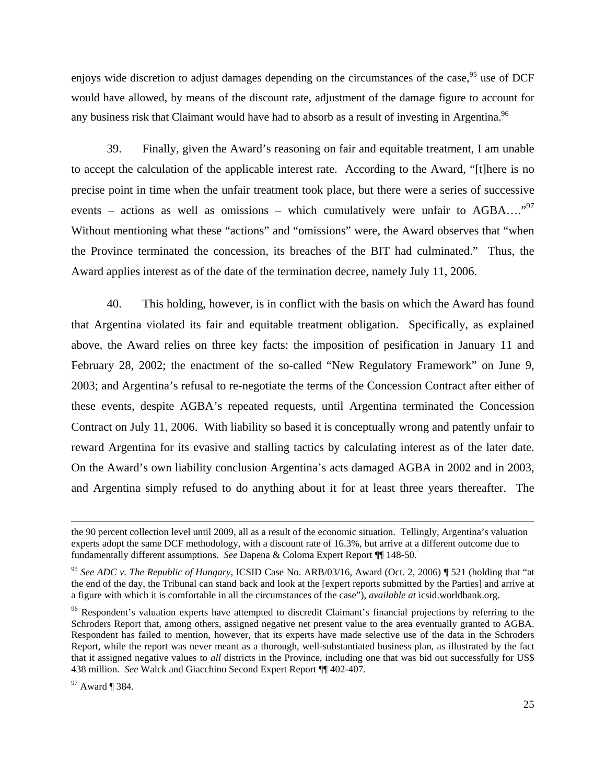enjoys wide discretion to adjust damages depending on the circumstances of the case,<sup>95</sup> use of DCF would have allowed, by means of the discount rate, adjustment of the damage figure to account for any business risk that Claimant would have had to absorb as a result of investing in Argentina.<sup>96</sup>

39. Finally, given the Award's reasoning on fair and equitable treatment, I am unable to accept the calculation of the applicable interest rate. According to the Award, "[t]here is no precise point in time when the unfair treatment took place, but there were a series of successive events – actions as well as omissions – which cumulatively were unfair to  $AGBA$ ...."<sup>97</sup> Without mentioning what these "actions" and "omissions" were, the Award observes that "when the Province terminated the concession, its breaches of the BIT had culminated." Thus, the Award applies interest as of the date of the termination decree, namely July 11, 2006.

40. This holding, however, is in conflict with the basis on which the Award has found that Argentina violated its fair and equitable treatment obligation. Specifically, as explained above, the Award relies on three key facts: the imposition of pesification in January 11 and February 28, 2002; the enactment of the so-called "New Regulatory Framework" on June 9, 2003; and Argentina's refusal to re-negotiate the terms of the Concession Contract after either of these events, despite AGBA's repeated requests, until Argentina terminated the Concession Contract on July 11, 2006. With liability so based it is conceptually wrong and patently unfair to reward Argentina for its evasive and stalling tactics by calculating interest as of the later date. On the Award's own liability conclusion Argentina's acts damaged AGBA in 2002 and in 2003, and Argentina simply refused to do anything about it for at least three years thereafter. The

<u> 1989 - Johann Stein, marwolaethau a gweledydd a ganlad y ganlad y ganlad y ganlad y ganlad y ganlad y ganlad</u>

the 90 percent collection level until 2009, all as a result of the economic situation. Tellingly, Argentina's valuation experts adopt the same DCF methodology, with a discount rate of 16.3%, but arrive at a different outcome due to fundamentally different assumptions. *See* Dapena & Coloma Expert Report ¶¶ 148-50.

<sup>95</sup> *See ADC v. The Republic of Hungary*, ICSID Case No. ARB/03/16, Award (Oct. 2, 2006) ¶ 521 (holding that "at the end of the day, the Tribunal can stand back and look at the [expert reports submitted by the Parties] and arrive at a figure with which it is comfortable in all the circumstances of the case"), *available at* icsid.worldbank.org.

<sup>&</sup>lt;sup>96</sup> Respondent's valuation experts have attempted to discredit Claimant's financial projections by referring to the Schroders Report that, among others, assigned negative net present value to the area eventually granted to AGBA. Respondent has failed to mention, however, that its experts have made selective use of the data in the Schroders Report, while the report was never meant as a thorough, well-substantiated business plan, as illustrated by the fact that it assigned negative values to *all* districts in the Province, including one that was bid out successfully for US\$ 438 million. *See* Walck and Giacchino Second Expert Report ¶¶ 402-407.

<sup>97</sup> Award ¶ 384.